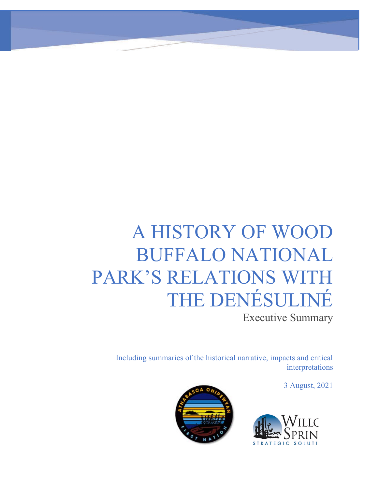# A HISTORY OF WOOD **BUFFALO NATIONAL** PARK'S RELATIONS WITH THE DENÉSULINÉ

**Executive Summary** 

Including summaries of the historical narrative, impacts and critical interpretations

3 August, 2021



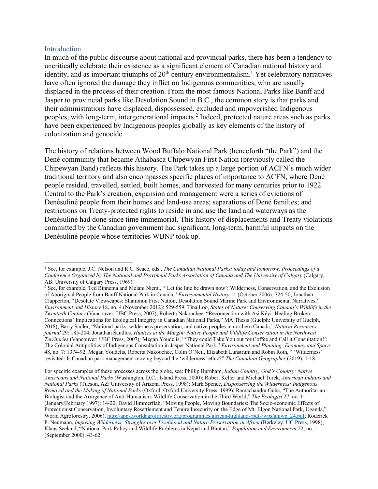#### Introduction

In much of the public discourse about national and provincial parks, there has been a tendency to uncritically celebrate their existence as a significant element of Canadian national history and identity, and as important triumphs of  $20<sup>th</sup>$  century environmentalism.<sup>1</sup> Yet celebratory narratives have often ignored the damage they inflict on Indigenous communities, who are usually displaced in the process of their creation. From the most famous National Parks like Banff and Jasper to provincial parks like Desolation Sound in B.C., the common story is that parks and their administrations have displaced, dispossessed, excluded and impoverished Indigenous peoples, with long-term, intergenerational impacts.2 Indeed, protected nature areas such as parks have been experienced by Indigenous peoples globally as key elements of the history of colonization and genocide.

The history of relations between Wood Buffalo National Park (henceforth "the Park") and the Dené community that became Athabasca Chipewyan First Nation (previously called the Chipewyan Band) reflects this history. The Park takes up a large portion of ACFN's much wider traditional territory and also encompasses specific places of importance to ACFN, where Dené people resided, travelled, settled, built homes, and harvested for many centuries prior to 1922. Central to the Park's creation, expansion and management were a series of evictions of Denésuliné people from their homes and land-use areas; separations of Dené families; and restrictions on Treaty-protected rights to reside in and use the land and waterways as the Denésuliné had done since time immemorial. This history of displacements and Treaty violations committed by the Canadian government had significant, long-term, harmful impacts on the Denésuliné people whose territories WBNP took up.

For specific examples of these processes across the globe, see: Phillip Burnham, *Indian Country, God's Country: Native Americans and National Parks* (Washington, D.C.: Island Press, 2000); Robert Keller and Michael Turek, *American Indians and National Parks* (Tucson, AZ: University of Arizona Press, 1998); Mark Spence, *Dispossessing the Wilderness: Indigenous Removal and the Making of National Parks* (Oxford: Oxford University Press, 1999); Ramachandra Guha, "The Authoritarian Biologist and the Arrogance of Anti-Humanism: Wildlife Conservation in the Third World," *The Ecologist* 27, no. 1 (January/February 1997): 14-20; David Himmerflab, "Moving People, Moving Boundaries: The Socio-economic Effects of Protectionist Conservation, Involuntary Resettlement and Tenure Insecurity on the Edge of Mt. Elgon National Park, Uganda," World Agroforestry, 2006), http://apps.worldagroforestry.org/programmes/african-highlands/pdfs/wps/ahiwp\_24.pdf; Roderick P. Neumann, *Imposing Wilderness: Struggles over Livelihood and Nature Preservation in Africa* (Berkeley: UC Press, 1998); Klaus Seeland, "National Park Policy and Wildlife Problems in Nepal and Bhutan," *Population and Environment* 22, no. 1 (September 2000): 43-62

<sup>1</sup> See, for example, J.C. Nelson and R.C. Scace, eds., *The Canadian National Parks: today and tomorrow, Proceedings of a Conference Organized by The National and Provincial Parks Association of Canada and The University of Calgary* (Calgary, AB: University of Calgary Press, 1969).

<sup>2</sup> See, for example, Ted Binnema and Melani Niemi, "'Let the line be drawn now': Wilderness, Conservation, and the Exclusion of Aboriginal People from Banff National Park in Canada," *Environmental History* 11 (October 2006): 724-50; Jonathan Clapperton, "Desolate Viewscapes: Sliammon First Nation, Desolation Sound Marine Park and Environmental Narratives," *Environment and History* 18, no. 4 (November 2012): 529-559; Tina Loo, *States of Nature: Conserving Canada's Wildlife in the Twentieth Century* (Vancouver: UBC Press, 2007); Roberta Nakoochee, "Reconnection with Asi Kéyi: Healing Broken Connections' Implications for Ecological Integrity in Canadian National Parks," MA Thesis (Guelph: University of Guelph, 2018); Barry Sadler, "National parks, wilderness preservation, and native peoples in northern Canada," *Natural Resources journal* 29: 185-204; Jonathan Sandlos, *Hunters at the Margin: Native People and Wildlife Conservation in the Northwest Territories* (Vancouver: UBC Press, 2007)*;* Megan Youdelis, "'They could Take You out for Coffee and Call it Consultation!': The Colonial Antipolitics of Indigenous Consultation in Jasper National Park," *Environment and Planning: Economy and Space*  48, no. 7: 1374-92; Megan Youdelis, Roberta Nakoochee, Colin O'Neil, Elizabeth Lunstrum and Robin Roth, " 'Wilderness' revisited: Is Canadian park management moving beyond the 'wilderness' ethic?" *The Canadian Geographer* (2019): 1-18.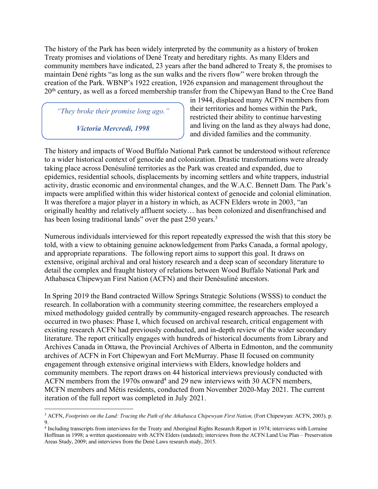The history of the Park has been widely interpreted by the community as a history of broken Treaty promises and violations of Dené Treaty and hereditary rights. As many Elders and community members have indicated, 23 years after the band adhered to Treaty 8, the promises to maintain Dené rights "as long as the sun walks and the rivers flow" were broken through the creation of the Park. WBNP's 1922 creation, 1926 expansion and management throughout the 20<sup>th</sup> century, as well as a forced membership transfer from the Chipewyan Band to the Cree Band

*"They broke their promise long ago."* 

*Victoria Mercredi, 1998*

in 1944, displaced many ACFN members from their territories and homes within the Park, restricted their ability to continue harvesting and living on the land as they always had done, and divided families and the community.

The history and impacts of Wood Buffalo National Park cannot be understood without reference to a wider historical context of genocide and colonization. Drastic transformations were already taking place across Denésuliné territories as the Park was created and expanded, due to epidemics, residential schools, displacements by incoming settlers and white trappers, industrial activity, drastic economic and environmental changes, and the W.A.C. Bennett Dam. The Park's impacts were amplified within this wider historical context of genocide and colonial elimination. It was therefore a major player in a history in which, as ACFN Elders wrote in 2003, "an originally healthy and relatively affluent society… has been colonized and disenfranchised and has been losing traditional lands" over the past 250 years.<sup>3</sup>

Numerous individuals interviewed for this report repeatedly expressed the wish that this story be told, with a view to obtaining genuine acknowledgement from Parks Canada, a formal apology, and appropriate reparations. The following report aims to support this goal. It draws on extensive, original archival and oral history research and a deep scan of secondary literature to detail the complex and fraught history of relations between Wood Buffalo National Park and Athabasca Chipewyan First Nation (ACFN) and their Denésuliné ancestors.

In Spring 2019 the Band contracted Willow Springs Strategic Solutions (WSSS) to conduct the research. In collaboration with a community steering committee, the researchers employed a mixed methodology guided centrally by community-engaged research approaches. The research occurred in two phases: Phase I, which focused on archival research, critical engagement with existing research ACFN had previously conducted, and in-depth review of the wider secondary literature. The report critically engages with hundreds of historical documents from Library and Archives Canada in Ottawa, the Provincial Archives of Alberta in Edmonton, and the community archives of ACFN in Fort Chipewyan and Fort McMurray. Phase II focused on community engagement through extensive original interviews with Elders, knowledge holders and community members. The report draws on 44 historical interviews previously conducted with ACFN members from the 1970s onward<sup>4</sup> and 29 new interviews with 30 ACFN members, MCFN members and Métis residents, conducted from November 2020-May 2021. The current iteration of the full report was completed in July 2021.

<sup>3</sup> ACFN, *Footprints on the Land: Tracing the Path of the Athabasca Chipewyan First Nation,* (Fort Chipewyan: ACFN, 2003)*,* p. 9.

<sup>4</sup> Including transcripts from interviews for the Treaty and Aboriginal Rights Research Report in 1974; interviews with Lorraine Hoffman in 1998; a written questionnaire with ACFN Elders (undated); interviews from the ACFN Land Use Plan – Preservation Areas Study, 2009; and interviews from the Dené Laws research study, 2015.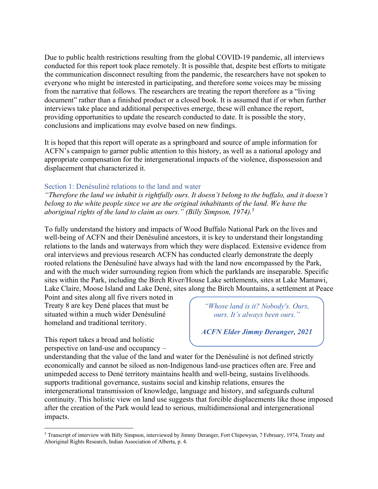Due to public health restrictions resulting from the global COVID-19 pandemic, all interviews conducted for this report took place remotely. It is possible that, despite best efforts to mitigate the communication disconnect resulting from the pandemic, the researchers have not spoken to everyone who might be interested in participating, and therefore some voices may be missing from the narrative that follows. The researchers are treating the report therefore as a "living document" rather than a finished product or a closed book. It is assumed that if or when further interviews take place and additional perspectives emerge, these will enhance the report, providing opportunities to update the research conducted to date. It is possible the story, conclusions and implications may evolve based on new findings.

It is hoped that this report will operate as a springboard and source of ample information for ACFN's campaign to garner public attention to this history, as well as a national apology and appropriate compensation for the intergenerational impacts of the violence, dispossession and displacement that characterized it.

## Section 1: Denésuliné relations to the land and water

*"Therefore the land we inhabit is rightfully ours. It doesn't belong to the buffalo, and it doesn't belong to the white people since we are the original inhabitants of the land. We have the aboriginal rights of the land to claim as ours." (Billy Simpson, 1974).5*

To fully understand the history and impacts of Wood Buffalo National Park on the lives and well-being of ACFN and their Denésuliné ancestors, it is key to understand their longstanding relations to the lands and waterways from which they were displaced. Extensive evidence from oral interviews and previous research ACFN has conducted clearly demonstrate the deeply rooted relations the Denésuliné have always had with the land now encompassed by the Park, and with the much wider surrounding region from which the parklands are inseparable. Specific sites within the Park, including the Birch River/House Lake settlements, sites at Lake Mamawi, Lake Claire, Moose Island and Lake Dené, sites along the Birch Mountains, a settlement at Peace

Point and sites along all five rivers noted in Treaty 8 are key Dené places that must be situated within a much wider Denésuliné homeland and traditional territory.

This report takes a broad and holistic perspective on land-use and occupancy – *"Whose land is it? Nobody's. Ours, ours. It's always been ours."*

*ACFN Elder Jimmy Deranger, 2021*

understanding that the value of the land and water for the Denésuliné is not defined strictly economically and cannot be siloed as non-Indigenous land-use practices often are. Free and unimpeded access to Dené territory maintains health and well-being, sustains livelihoods. supports traditional governance, sustains social and kinship relations, ensures the intergenerational transmission of knowledge, language and history, and safeguards cultural continuity. This holistic view on land use suggests that forcible displacements like those imposed after the creation of the Park would lead to serious, multidimensional and intergenerational impacts. *"Whose land is it? Nobody's. Ours,* 

<sup>5</sup> Transcript of interview with Billy Simpson, interviewed by Jimmy Deranger, Fort Chipewyan, 7 February, 1974, Treaty and Aboriginal Rights Research, Indian Association of Alberta, p. 4.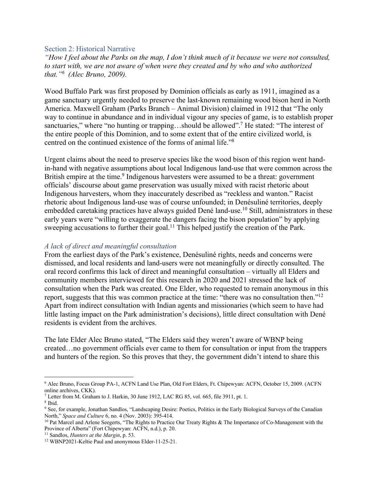### Section 2: Historical Narrative

*"How I feel about the Parks on the map, I don't think much of it because we were not consulted, to start with, we are not aware of when were they created and by who and who authorized that."6 (Alec Bruno, 2009).* 

Wood Buffalo Park was first proposed by Dominion officials as early as 1911, imagined as a game sanctuary urgently needed to preserve the last-known remaining wood bison herd in North America. Maxwell Graham (Parks Branch – Animal Division) claimed in 1912 that "The only way to continue in abundance and in individual vigour any species of game, is to establish proper sanctuaries," where "no hunting or trapping...should be allowed".<sup>7</sup> He stated: "The interest of the entire people of this Dominion, and to some extent that of the entire civilized world, is centred on the continued existence of the forms of animal life."8

Urgent claims about the need to preserve species like the wood bison of this region went handin-hand with negative assumptions about local Indigenous land-use that were common across the British empire at the time.<sup>9</sup> Indigenous harvesters were assumed to be a threat: government officials' discourse about game preservation was usually mixed with racist rhetoric about Indigenous harvesters, whom they inaccurately described as "reckless and wanton." Racist rhetoric about Indigenous land-use was of course unfounded; in Denésuliné territories, deeply embedded caretaking practices have always guided Dené land-use.<sup>10</sup> Still, administrators in these early years were "willing to exaggerate the dangers facing the bison population" by applying sweeping accusations to further their goal.<sup>11</sup> This helped justify the creation of the Park.

### *A lack of direct and meaningful consultation*

From the earliest days of the Park's existence, Denésuliné rights, needs and concerns were dismissed, and local residents and land-users were not meaningfully or directly consulted. The oral record confirms this lack of direct and meaningful consultation – virtually all Elders and community members interviewed for this research in 2020 and 2021 stressed the lack of consultation when the Park was created. One Elder, who requested to remain anonymous in this report, suggests that this was common practice at the time: "there was no consultation then."12 Apart from indirect consultation with Indian agents and missionaries (which seem to have had little lasting impact on the Park administration's decisions), little direct consultation with Dené residents is evident from the archives.

The late Elder Alec Bruno stated, "The Elders said they weren't aware of WBNP being created…no government officials ever came to them for consultation or input from the trappers and hunters of the region. So this proves that they, the government didn't intend to share this

<sup>6</sup> Alec Bruno, Focus Group PA-1, ACFN Land Use Plan, Old Fort Elders, Ft. Chipewyan: ACFN, October 15, 2009. (ACFN online archives, CKK).

<sup>7</sup> Letter from M. Graham to J. Harkin, 30 June 1912, LAC RG 85, vol. 665, file 3911, pt. 1.

<sup>8</sup> Ibid.

<sup>&</sup>lt;sup>9</sup> See, for example, Jonathan Sandlos, "Landscaping Desire: Poetics, Politics in the Early Biological Surveys of the Canadian North," *Space and Culture* 6, no. 4 (Nov. 2003): 395-414.

<sup>&</sup>lt;sup>10</sup> Pat Marcel and Arlene Seegerts, "The Rights to Practice Our Treaty Rights & The Importance of Co-Management with the Province of Alberta" (Fort Chipewyan: ACFN, n.d.), p. 20.

<sup>11</sup> Sandlos, *Hunters at the Margin*, p. 53.

<sup>12</sup> WBNP2021-Keltie Paul and anonymous Elder-11-25-21.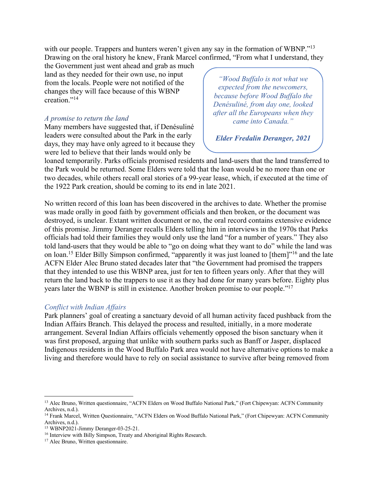with our people. Trappers and hunters weren't given any say in the formation of WBNP."<sup>13</sup> Drawing on the oral history he knew, Frank Marcel confirmed, "From what I understand, they

the Government just went ahead and grab as much land as they needed for their own use, no input from the locals. People were not notified of the changes they will face because of this WBNP creation."<sup>14</sup>

# *A promise to return the land*

Many members have suggested that, if Denésuliné leaders were consulted about the Park in the early days, they may have only agreed to it because they were led to believe that their lands would only be

*"Wood Buffalo is not what we expected from the newcomers, because before Wood Buffalo the Denésuliné, from day one, looked after all the Europeans when they came into Canada."*

*Elder Fredalin Deranger, 2021*

loaned temporarily. Parks officials promised residents and land-users that the land transferred to foance temporarity. I also officially profiles the sidents and faile-users that the faile transferred to<br>the Park would be returned. Some Elders were told that the loan would be no more than one or two decades, while others recall oral stories of a 99-year lease, which, if executed at the time of two decades, while others recall oral stories of a 99-year lease, which, if executed at the time of the 1922 Park creation, should be coming to its end in late 2021. *because before Wood Buffalo the*   $\frac{2021}{1}$ 

No written record of this loan has been discovered in the archives to date. Whether the promise was made orally in good faith by government officials and then broken, or the document was was made orally in good faith by government officials and then broken, or the document was destroyed, is unclear. Extant written document or no, the oral record contains extensive evidence destroyed, is unclear. Extain written document of ho, the oral record contains extensive evidence<br>of this promise. Jimmy Deranger recalls Elders telling him in interviews in the 1970s that Parks officials had told their families they would only use the land "for a number of years." They also told land-users that they would be able to "go on doing what they want to do" while the land was on loan.<sup>15</sup> Elder Billy Simpson confirmed, "apparently it was just loaned to [them]"<sup>16</sup> and the late ACFN Elder Alec Bruno stated decades later that "the Government had promised the trappers that they intended to use this WBNP area, just for ten to fifteen years only. After that they will return the land back to the trappers to use it as they had done for many years before. Eighty plus years later the WBNP is still in existence. Another broken promise to our people."17

# *Conflict with Indian Affairs*

Park planners' goal of creating a sanctuary devoid of all human activity faced pushback from the Indian Affairs Branch. This delayed the process and resulted, initially, in a more moderate arrangement. Several Indian Affairs officials vehemently opposed the bison sanctuary when it was first proposed, arguing that unlike with southern parks such as Banff or Jasper, displaced Indigenous residents in the Wood Buffalo Park area would not have alternative options to make a living and therefore would have to rely on social assistance to survive after being removed from

<sup>&</sup>lt;sup>13</sup> Alec Bruno, Written questionnaire, "ACFN Elders on Wood Buffalo National Park," (Fort Chipewyan: ACFN Community Archives, n.d.).

<sup>14</sup> Frank Marcel, Written Questionnaire, "ACFN Elders on Wood Buffalo National Park," (Fort Chipewyan: ACFN Community Archives, n.d.).

<sup>15</sup> WBNP2021-Jimmy Deranger-03-25-21.

<sup>&</sup>lt;sup>16</sup> Interview with Billy Simpson, Treaty and Aboriginal Rights Research.

<sup>&</sup>lt;sup>17</sup> Alec Bruno, Written questionnaire.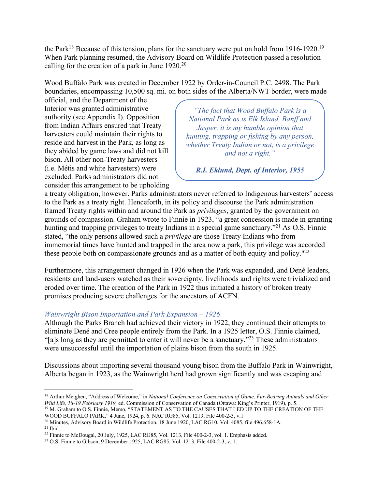the Park<sup>18</sup> Because of this tension, plans for the sanctuary were put on hold from 1916-1920.<sup>19</sup> When Park planning resumed, the Advisory Board on Wildlife Protection passed a resolution calling for the creation of a park in June  $1920.^{20}$ 

Wood Buffalo Park was created in December 1922 by Order-in-Council P.C. 2498. The Park boundaries, encompassing 10,500 sq. mi. on both sides of the Alberta/NWT border, were made

official, and the Department of the Interior was granted administrative authority (see Appendix I). Opposition from Indian Affairs ensured that Treaty harvesters could maintain their rights to reside and harvest in the Park, as long as they abided by game laws and did not kill bison. All other non-Treaty harvesters (i.e. Métis and white harvesters) were excluded. Parks administrators did not consider this arrangement to be upholding

*"The fact that Wood Buffalo Park is a National Park as is Elk Island, Banff and Jasper, it is my humble opinion that hunting, trapping or fishing by any person, whether Treaty Indian or not, is a privilege and not a right."*

*R.I. Eklund, Dept. of Interior, 1955*

a treaty obligation, however. Parks administrators never referred to Indigenous harvesters' access to the Park as a treaty right. Henceforth, in its policy and discourse the Park administration framed Treaty rights within and around the Park as *privileges*, granted by the government on grounds of compassion. Graham wrote to Finnie in 1923, "a great concession is made in granting *g* hunting and trapping privileges to treaty Indians in a special game sanctuary."<sup>21</sup> As O.S. Finnie stated, "the only persons allowed such a *privilege* are those Treaty Indians who from immemorial times have hunted and trapped in the area now a park, this privilege was accorded these people both on compassionate grounds and as a matter of both equity and policy."<sup>22</sup> *"The fact that Wood Buffalo Park is a n* all *national Park as is never* referred to Indigenous narvesters

Furthermore, this arrangement changed in 1926 when the Park was expanded, and Dené leaders, residents and land-users watched as their sovereignty, livelihoods and rights were trivialized and eroded over time. The creation of the Park in 1922 thus initiated a history of broken treaty promises producing severe challenges for the ancestors of ACFN.

# *Wainwright Bison Importation and Park Expansion – 1926*

Although the Parks Branch had achieved their victory in 1922, they continued their attempts to eliminate Dené and Cree people entirely from the Park. In a 1925 letter, O.S. Finnie claimed, "[a]s long as they are permitted to enter it will never be a sanctuary."<sup>23</sup> These administrators were unsuccessful until the importation of plains bison from the south in 1925.

Discussions about importing several thousand young bison from the Buffalo Park in Wainwright, Alberta began in 1923, as the Wainwright herd had grown significantly and was escaping and

<sup>&</sup>lt;sup>18</sup> Arthur Meighen, "Address of Welcome," in *National Conference on Conservation of Game, Fur-Bearing Animals and Other Wild Life, 18-19 February 1919, ed. Commission of Conservation of Canada (Ottawa: King's Printer, 19* <sup>19</sup> M. Graham to O.S. Finnie, Memo, "STATEMENT AS TO THE CAUSES THAT LED UP TO THE CREATION OF THE

WOOD BUFFALO PARK," 4 June, 1924, p. 6. NAC RG85, Vol. 1213, File 400-2-3, v.1<br><sup>20</sup> Minutes, Advisory Board in Wildlife Protection, 18 June 1920, LAC RG10, Vol. 4085, file 496,658-1A.

<sup>&</sup>lt;sup>21</sup> Ibid.<br><sup>22</sup> Finnie to McDougal, 20 July, 1925, LAC RG85, Vol. 1213, File 400-2-3, vol. 1. Emphasis added.

<sup>23</sup> O.S. Finnie to Gibson, 9 December 1925, LAC RG85, Vol. 1213, File 400-2-3, v. 1.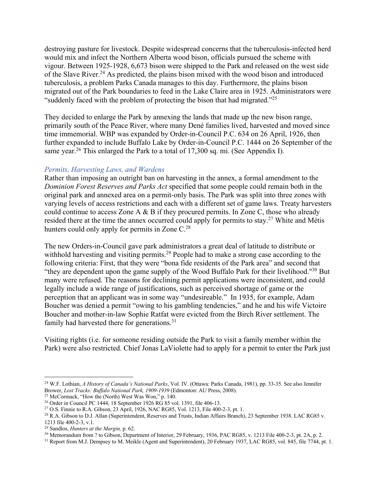destroying pasture for livestock. Despite widespread concerns that the tuberculosis-infected herd would mix and infect the Northern Alberta wood bison, officials pursued the scheme with vigour. Between 1925-1928, 6,673 bison were shipped to the Park and released on the west side of the Slave River.24 As predicted, the plains bison mixed with the wood bison and introduced tuberculosis, a problem Parks Canada manages to this day. Furthermore, the plains bison migrated out of the Park boundaries to feed in the Lake Claire area in 1925. Administrators were "suddenly faced with the problem of protecting the bison that had migrated." $^{25}$ 

They decided to enlarge the Park by annexing the lands that made up the new bison range, primarily south of the Peace River, where many Dené families lived, harvested and moved since time immemorial. WBP was expanded by Order-in-Council P.C. 634 on 26 April, 1926, then further expanded to include Buffalo Lake by Order-in-Council P.C. 1444 on 26 September of the same year.<sup>26</sup> This enlarged the Park to a total of 17,300 sq. mi. (See Appendix I).

## *Permits, Harvesting Laws, and Wardens*

Rather than imposing an outright ban on harvesting in the annex, a formal amendment to the *Dominion Forest Reserves and Parks Act* specified that some people could remain both in the original park and annexed area on a permit-only basis. The Park was split into three zones with varying levels of access restrictions and each with a different set of game laws. Treaty harvesters could continue to access Zone A & B if they procured permits. In Zone C, those who already resided there at the time the annex occurred could apply for permits to stay.<sup>27</sup> White and Métis hunters could only apply for permits in Zone C.<sup>28</sup>

The new Orders-in-Council gave park administrators a great deal of latitude to distribute or withhold harvesting and visiting permits.<sup>29</sup> People had to make a strong case according to the following criteria: First, that they were "bona fide residents of the Park area" and second that "they are dependent upon the game supply of the Wood Buffalo Park for their livelihood."30 But many were refused. The reasons for declining permit applications were inconsistent, and could legally include a wide range of justifications, such as perceived shortage of game or the perception that an applicant was in some way "undesireable." In 1935, for example, Adam Boucher was denied a permit "owing to his gambling tendencies," and he and his wife Victoire Boucher and mother-in-law Sophie Ratfat were evicted from the Birch River settlement. The family had harvested there for generations.<sup>31</sup>

Visiting rights (i.e. for someone residing outside the Park to visit a family member within the Park) were also restricted. Chief Jonas LaViolette had to apply for a permit to enter the Park just

<sup>24</sup> W.F. Lothian, *A History of Canada's National Parks*, Vol. IV. (Ottawa: Parks Canada, 1981), pp. 33-35. See also Jennifer Brower, *Lost Tracks: Buffalo National Park, 1909-1939* (Edmonton: AU Press, 2008). <sup>25</sup> McCormack, "How the (North) West Was Won," p. 140.

<sup>&</sup>lt;sup>26</sup> Order in Council PC 1444, 18 September 1926 RG 85 vol. 1391, file 406-13.

<sup>27</sup> O.S. Finnie to R.A. Gibson, 23 April, 1926, NAC RG85, Vol. 1213, File 400-2-3, pt. 1.

<sup>28</sup> R.A. Gibson to D.J. Allan (Superintendent, Reserves and Trusts, Indian Affairs Branch), 23 September 1938. LAC RG85 v. 1213 file 400-2-3, v.1.

<sup>29</sup> Sandlos, *Hunters at the Margin,* p. 62.

<sup>30</sup> Memorandum from ? to Gibson, Department of Interior, 29 February, 1936, PAC RG85, v. 1213 File 400-2-3, pt. 2A, p. 2.

<sup>&</sup>lt;sup>31</sup> Report from M.J. Dempsey to M. Meikle (Agent and Superintendent), 20 February 1937, LAC RG85, vol. 845, file 7744, pt. 1.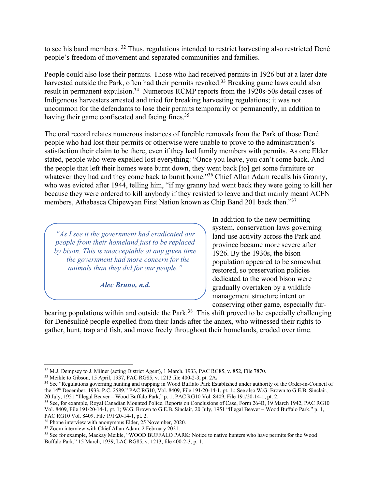to see his band members. <sup>32</sup> Thus, regulations intended to restrict harvesting also restricted Dené people's freedom of movement and separated communities and families.

People could also lose their permits. Those who had received permits in 1926 but at a later date harvested outside the Park, often had their permits revoked.<sup>33</sup> Breaking game laws could also result in permanent expulsion.<sup>34</sup> Numerous RCMP reports from the 1920s-50s detail cases of Indigenous harvesters arrested and tried for breaking harvesting regulations; it was not uncommon for the defendants to lose their permits temporarily or permanently, in addition to having their game confiscated and facing fines.<sup>35</sup>

The oral record relates numerous instances of forcible removals from the Park of those Dené people who had lost their permits or otherwise were unable to prove to the administration's satisfaction their claim to be there, even if they had family members with permits. As one Elder stated, people who were expelled lost everything: "Once you leave, you can't come back. And the people that left their homes were burnt down, they went back [to] get some furniture or whatever they had and they come back to burnt home."<sup>36</sup> Chief Allan Adam recalls his Granny, who was evicted after 1944, telling him, "if my granny had went back they were going to kill her because they were ordered to kill anybody if they resisted to leave and that mainly meant ACFN members, Athabasca Chipewyan First Nation known as Chip Band 201 back then."37

*"As I see it the government had eradicated our people from their homeland just to be replaced by bison. This is unacceptable at any given time – the government had more concern for the animals than they did for our people."*

*Alec Bruno, n.d.*

*"As I see it the government had eradicated our* 

In addition to the new permitting system, conservation laws governing land-use activity across the Park and province became more severe after 1926. By the 1930s, the bison population appeared to be somewhat restored, so preservation policies dedicated to the wood bison were gradually overtaken by a wildlife management structure intent on conserving other game, especially fur-

bearing populations within and outside the Park.<sup>38</sup> This shift proved to be especially challenging for Denésuliné people expelled from their lands after the annex, who witnessed their rights to gather, hunt, trap and fish, and move freely throughout their homelands, eroded over time. *animals than they did for our people."*

<sup>32</sup> M.J. Dempsey to J. Milner (acting District Agent), 1 March, 1933, PAC RG85, v. 852, File 7870. 33 Meikle to Gibson, 15 April, 1937, PAC RG85, v. 1213 file 400-2-3, pt. 2A**.** 

<sup>&</sup>lt;sup>34</sup> See "Regulations governing hunting and trapping in Wood Buffalo Park Established under authority of the Order-in-Council of the 14th December, 1933, P.C. 2589," PAC RG10, Vol. 8409, File 191/20-14-1, pt. 1.; See also W.G. Brown to G.E.B. Sinclair, 20 July, 1951 "Illegal Beaver – Wood Buffalo Park," p. 1, PAC RG10 Vol. 8409, File 191/20-14-1, pt. 2.

<sup>&</sup>lt;sup>35</sup> See, for example, Royal Canadian Mounted Police, Reports on Conclusions of Case, Form 264B, 19 March 1942, PAC RG10 Vol. 8409, File 191/20-14-1, pt. 1; W.G. Brown to G.E.B. Sinclair, 20 July, 1951 "Illegal Beaver – Wood Buffalo Park," p. 1, PAC RG10 Vol. 8409, File  $191/20-14-1$ , pt. 2.<br><sup>36</sup> Phone interview with anonymous Elder, 25 November, 2020.

<sup>&</sup>lt;sup>37</sup> Zoom interview with Chief Allan Adam, 2 February 2021.

<sup>&</sup>lt;sup>38</sup> See for example, Mackay Meikle, "WOOD BUFFALO PARK: Notice to native hunters who have permits for the Wood Buffalo Park," 15 March, 1939, LAC RG85, v. 1213, file 400-2-3, p. 1.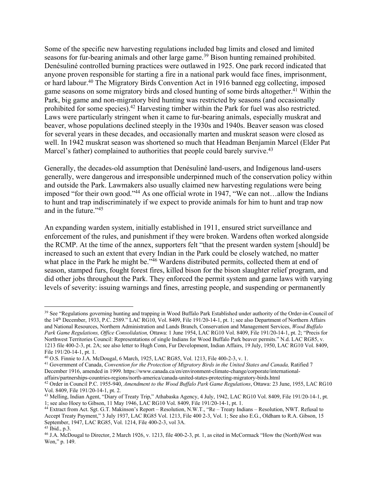Some of the specific new harvesting regulations included bag limits and closed and limited seasons for fur-bearing animals and other large game.<sup>39</sup> Bison hunting remained prohibited. Denésuliné controlled burning practices were outlawed in 1925. One park record indicated that anyone proven responsible for starting a fire in a national park would face fines, imprisonment, or hard labour.<sup>40</sup> The Migratory Birds Convention Act in 1916 banned egg collecting, imposed game seasons on some migratory birds and closed hunting of some birds altogether.<sup>41</sup> Within the Park, big game and non-migratory bird hunting was restricted by seasons (and occasionally prohibited for some species).<sup>42</sup> Harvesting timber within the Park for fuel was also restricted. Laws were particularly stringent when it came to fur-bearing animals, especially muskrat and beaver, whose populations declined steeply in the 1930s and 1940s. Beaver season was closed for several years in these decades, and occasionally marten and muskrat season were closed as well. In 1942 muskrat season was shortened so much that Headman Benjamin Marcel (Elder Pat Marcel's father) complained to authorities that people could barely survive.<sup>43</sup>

Generally, the decades-old assumption that Denésuliné land-users, and Indigenous land-users generally, were dangerous and irresponsible underpinned much of the conservation policy within and outside the Park. Lawmakers also usually claimed new harvesting regulations were being imposed "for their own good."44 As one official wrote in 1947, "We can not…allow the Indians to hunt and trap indiscriminately if we expect to provide animals for him to hunt and trap now and in the future."45

An expanding warden system, initially established in 1911, ensured strict surveillance and enforcement of the rules, and punishment if they were broken. Wardens often worked alongside the RCMP. At the time of the annex, supporters felt "that the present warden system [should] be increased to such an extent that every Indian in the Park could be closely watched, no matter what place in the Park he might be."<sup>46</sup> Wardens distributed permits, collected them at end of season, stamped furs, fought forest fires, killed bison for the bison slaughter relief program, and did other jobs throughout the Park. They enforced the permit system and game laws with varying levels of severity: issuing warnings and fines, arresting people, and suspending or permanently

<sup>&</sup>lt;sup>39</sup> See "Regulations governing hunting and trapping in Wood Buffalo Park Established under authority of the Order-in-Council of the 14th December, 1933, P.C. 2589." LAC RG10, Vol. 8409, File 191/20-14-1, pt. 1; see also Department of Northern Affairs and National Resources, Northern Administration and Lands Branch, Conservation and Management Services, *Wood Buffalo Park Game Regulations, Office Consolidation,* Ottawa: 1 June 1954, LAC RG10 Vol. 8409, File 191/20-14-1, pt. 2; "Precis for Northwest Territories Council: Representations of single Indians for Wood Buffalo Park beaver permits." N.d. LAC RG85, v. 1213 file 400-2-3, pt. 2A; see also letter to Hugh Conn, Fur Development, Indian Affairs, 19 July, 1950, LAC RG10 Vol. 8409, File 191/20-14-1, pt. 1.<br><sup>40</sup> O.S. Finnie to J.A. McDougal, 6 March, 1925, LAC RG85, Vol. 1213, File 400-2-3, v. 1.

<sup>&</sup>lt;sup>41</sup> Government of Canada, Convention for the Protection of Migratory Birds in the United States and Canada, Ratified 7 December 1916, amended in 1999. https://www.canada.ca/en/environment-climate-change/corporate/internationalaffairs/partnerships-countries-regions/north-america/canada-united-states-protecting-migratory-birds.html

<sup>42</sup> Order in Council P.C. 1955-940, *Amendment to the Wood Buffalo Park Game Regulations*, Ottawa: 23 June, 1955, LAC RG10 Vol. 8409, File 191/20-14-1, pt. 2.

<sup>43</sup> Melling, Indian Agent, "Diary of Treaty Trip," Athabaska Agency, 4 July, 1942, LAC RG10 Vol. 8409, File 191/20-14-1, pt. 1; see also Hoey to Gibson, 11 May 1946, LAC RG10 Vol. 8409, File 191/20-14-1, pt. 1.

<sup>44</sup> Extract from Act. Sgt. G.T. Makinson's Report – Resolution, N.W.T., "Re – Treaty Indians – Resolution, NWT. Refusal to Accept Treaty Payment," 3 July 1937, LAC RG85 Vol. 1213, File 400 2-3, Vol. 1; See also E.G., Oldham to R.A. Gibson, 15 September, 1947, LAC RG85, Vol. 1214, File 400-2-3, vol 3A.

<sup>45</sup> Ibid., p.3.

<sup>46</sup> J.A. McDougal to Director, 2 March 1926, v. 1213, file 400-2-3, pt. 1, as cited in McCormack "How the (North)West was Won," p. 149.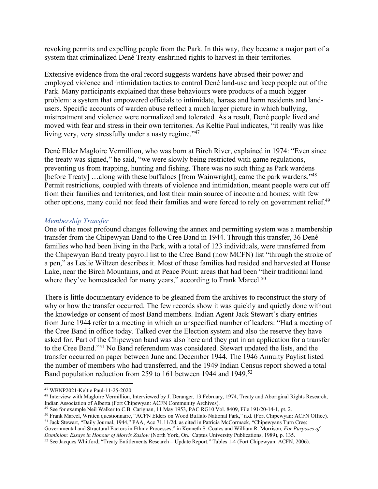revoking permits and expelling people from the Park. In this way, they became a major part of a system that criminalized Dené Treaty-enshrined rights to harvest in their territories.

Extensive evidence from the oral record suggests wardens have abused their power and employed violence and intimidation tactics to control Dené land-use and keep people out of the Park. Many participants explained that these behaviours were products of a much bigger problem: a system that empowered officials to intimidate, harass and harm residents and landusers. Specific accounts of warden abuse reflect a much larger picture in which bullying, mistreatment and violence were normalized and tolerated. As a result, Dené people lived and moved with fear and stress in their own territories. As Keltie Paul indicates, "it really was like living very, very stressfully under a nasty regime."<sup>47</sup>

Dené Elder Magloire Vermillion, who was born at Birch River, explained in 1974: "Even since the treaty was signed," he said, "we were slowly being restricted with game regulations, preventing us from trapping, hunting and fishing. There was no such thing as Park wardens [before Treaty] …along with these buffaloes [from Wainwright], came the park wardens."<sup>48</sup> Permit restrictions, coupled with threats of violence and intimidation, meant people were cut off from their families and territories, and lost their main source of income and homes; with few other options, many could not feed their families and were forced to rely on government relief.<sup>49</sup>

## *Membership Transfer*

One of the most profound changes following the annex and permitting system was a membership transfer from the Chipewyan Band to the Cree Band in 1944. Through this transfer, 36 Dené families who had been living in the Park, with a total of 123 individuals, were transferred from the Chipewyan Band treaty payroll list to the Cree Band (now MCFN) list "through the stroke of a pen," as Leslie Wiltzen describes it. Most of these families had resided and harvested at House Lake, near the Birch Mountains, and at Peace Point: areas that had been "their traditional land where they've homesteaded for many years," according to Frank Marcel.<sup>50</sup>

There is little documentary evidence to be gleaned from the archives to reconstruct the story of why or how the transfer occurred. The few records show it was quickly and quietly done without the knowledge or consent of most Band members. Indian Agent Jack Stewart's diary entries from June 1944 refer to a meeting in which an unspecified number of leaders: "Had a meeting of the Cree Band in office today. Talked over the Election system and also the reserve they have asked for. Part of the Chipewyan band was also here and they put in an application for a transfer to the Cree Band."51 No Band referendum was considered. Stewart updated the lists, and the transfer occurred on paper between June and December 1944. The 1946 Annuity Paylist listed the number of members who had transferred, and the 1949 Indian Census report showed a total Band population reduction from 259 to 161 between 1944 and 1949.<sup>52</sup>

Governmental and Structural Factors in Ethnic Processes," in Kenneth S. Coates and William R. Morrison, *For Purposes of Dominion: Essays in Honour of Morris Zaslow* (North York, On.: Captus University Publications, 1989),

<sup>&</sup>lt;sup>47</sup> WBNP2021-Keltie Paul-11-25-2020.<br><sup>48</sup> Interview with Magloire Vermillion, Interviewed by J. Deranger, 13 February, 1974, Treaty and Aboriginal Rights Research, Indian Association of Alberta (Fort Chipewyan: ACFN Community Archives).

<sup>&</sup>lt;sup>49</sup> See for example Neil Walker to C.B. Carignan, 11 May 1953, PAC RG10 Vol. 8409, File 191/20-14-1, pt. 2.<br><sup>50</sup> Frank Marcel, Written questionnaire, "ACFN Elders on Wood Buffalo National Park," n.d. (Fort Chipewyan: ACFN

<sup>&</sup>lt;sup>51</sup> Jack Stewart, "Daily Journal, 1944," PAA, Acc 71.11/2d, as cited in Patricia McCormack, "Chipewyans Turn Cree:

<sup>&</sup>lt;sup>52</sup> See Jacques Whitford, "Treaty Entitlements Research - Update Report," Tables 1-4 (Fort Chipewyan: ACFN, 2006).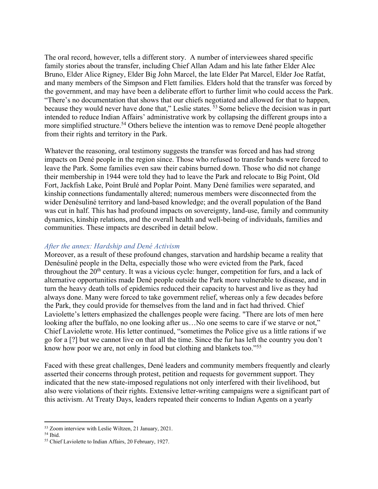The oral record, however, tells a different story. A number of interviewees shared specific family stories about the transfer, including Chief Allan Adam and his late father Elder Alec Bruno, Elder Alice Rigney, Elder Big John Marcel, the late Elder Pat Marcel, Elder Joe Ratfat, and many members of the Simpson and Flett families. Elders hold that the transfer was forced by the government, and may have been a deliberate effort to further limit who could access the Park. "There's no documentation that shows that our chiefs negotiated and allowed for that to happen, because they would never have done that," Leslie states. <sup>53</sup> Some believe the decision was in part intended to reduce Indian Affairs' administrative work by collapsing the different groups into a more simplified structure.<sup>54</sup> Others believe the intention was to remove Dené people altogether from their rights and territory in the Park.

Whatever the reasoning, oral testimony suggests the transfer was forced and has had strong impacts on Dené people in the region since. Those who refused to transfer bands were forced to leave the Park. Some families even saw their cabins burned down. Those who did not change their membership in 1944 were told they had to leave the Park and relocate to Big Point, Old Fort, Jackfish Lake, Point Brulé and Poplar Point. Many Dené families were separated, and kinship connections fundamentally altered; numerous members were disconnected from the wider Denésuliné territory and land-based knowledge; and the overall population of the Band was cut in half. This has had profound impacts on sovereignty, land-use, family and community dynamics, kinship relations, and the overall health and well-being of individuals, families and communities. These impacts are described in detail below.

# *After the annex: Hardship and Dené Activism*

Moreover, as a result of these profound changes, starvation and hardship became a reality that Denésuliné people in the Delta, especially those who were evicted from the Park, faced throughout the  $20<sup>th</sup>$  century. It was a vicious cycle: hunger, competition for furs, and a lack of alternative opportunities made Dené people outside the Park more vulnerable to disease, and in turn the heavy death tolls of epidemics reduced their capacity to harvest and live as they had always done. Many were forced to take government relief, whereas only a few decades before the Park, they could provide for themselves from the land and in fact had thrived. Chief Laviolette's letters emphasized the challenges people were facing. "There are lots of men here looking after the buffalo, no one looking after us...No one seems to care if we starve or not," Chief Laviolette wrote. His letter continued, "sometimes the Police give us a little rations if we go for a [?] but we cannot live on that all the time. Since the fur has left the country you don't know how poor we are, not only in food but clothing and blankets too."55

Faced with these great challenges, Dené leaders and community members frequently and clearly asserted their concerns through protest, petition and requests for government support. They indicated that the new state-imposed regulations not only interfered with their livelihood, but also were violations of their rights. Extensive letter-writing campaigns were a significant part of this activism. At Treaty Days, leaders repeated their concerns to Indian Agents on a yearly

<sup>&</sup>lt;sup>53</sup> Zoom interview with Leslie Wiltzen, 21 January, 2021.<br><sup>54</sup> Ibid. <sup>55</sup> Chief Laviolette to Indian Affairs, 20 February, 1927.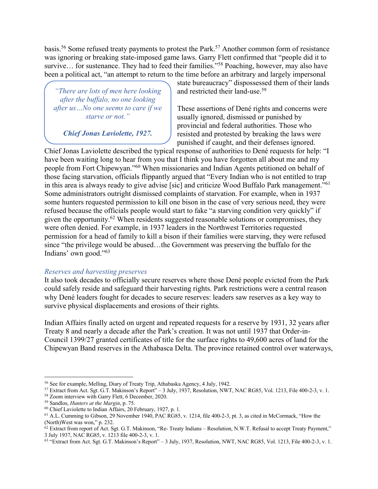basis.56 Some refused treaty payments to protest the Park.57 Another common form of resistance was ignoring or breaking state-imposed game laws. Garry Flett confirmed that "people did it to survive... for sustenance. They had to feed their families."<sup>58</sup> Poaching, however, may also have been a political act, "an attempt to return to the time before an arbitrary and largely impersonal

*"There are lots of men here looking after the buffalo, no one looking after us…No one seems to care if we starve or not."*

*Chief Jonas Laviolette, 1927.*

state bureaucracy" dispossessed them of their lands and restricted their land-use.<sup>59</sup>

These assertions of Dené rights and concerns were usually ignored, dismissed or punished by provincial and federal authorities. Those who resisted and protested by breaking the laws were punished if caught, and their defenses ignored.

Chief Jonas Laviolette described the typical response of authorities to Dené requests for help: "I have been waiting long to hear from you that I think you have forgotten all about me and my people from Fort Chipewyan."<sup>60</sup> When missionaries and Indian Agents petitioned on behalf of those facing starvation, officials flippantly argued that "Every Indian who is not entitled to trap in this area is always ready to give advise [sic] and criticize Wood Buffalo Park management."61 Some administrators outright dismissed complaints of starvation. For example, when in 1937 some hunters requested permission to kill one bison in the case of very serious need, they were refused because the officials people would start to fake "a starving condition very quickly" if given the opportunity.62 When residents suggested reasonable solutions or compromises, they were often denied. For example, in 1937 leaders in the Northwest Territories requested permission for a head of family to kill a bison if their families were starving, they were refused since "the privilege would be abused…the Government was preserving the buffalo for the Indians' own good."63

# *Reserves and harvesting preserves*

It also took decades to officially secure reserves where those Dené people evicted from the Park could safely reside and safeguard their harvesting rights. Park restrictions were a central reason why Dené leaders fought for decades to secure reserves: leaders saw reserves as a key way to survive physical displacements and erosions of their rights.

Indian Affairs finally acted on urgent and repeated requests for a reserve by 1931, 32 years after Treaty 8 and nearly a decade after the Park's creation. It was not until 1937 that Order-in-Council 1399/27 granted certificates of title for the surface rights to 49,600 acres of land for the Chipewyan Band reserves in the Athabasca Delta. The province retained control over waterways,

<sup>56</sup> See for example, Melling, Diary of Treaty Trip, Athabaska Agency, 4 July, 1942.

<sup>57</sup> Extract from Act. Sgt. G.T. Makinson's Report" – 3 July, 1937, Resolution, NWT, NAC RG85, Vol. 1213, File 400-2-3, v. 1.

<sup>&</sup>lt;sup>58</sup> Zoom interview with Garry Flett, 6 December, 2020.<br><sup>59</sup> Sandlos, *Hunters at the Margin*, p. 75.

<sup>&</sup>lt;sup>60</sup> Chief Laviolette to Indian Affairs, 20 February, 1927, p. 1.

<sup>61</sup> A.L. Cumming to Gibson, 29 November 1940, PAC RG85, v. 1214, file 400-2-3, pt. 3, as cited in McCormack, "How the (North)West was won," p. 232.

 $62$  Extract from report of Act. Sgt. G.T. Makinson, "Re- Treaty Indians – Resolution, N.W.T. Refusal to accept Treaty Payment," 3 July 1937, NAC RG85, v. 1213 file 400-2-3, v. 1.

 $63$  "Extract from Act. Sgt. G.T. Makinson's Report" – 3 July, 1937, Resolution, NWT, NAC RG85, Vol. 1213, File 400-2-3, v. 1.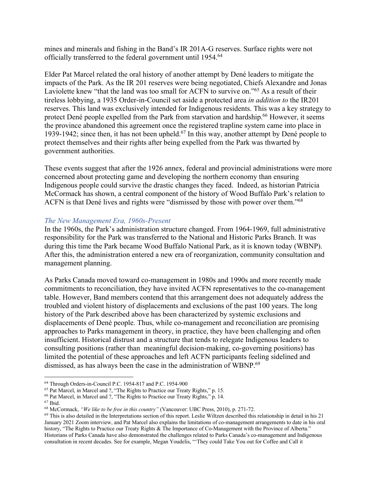mines and minerals and fishing in the Band's IR 201A-G reserves. Surface rights were not officially transferred to the federal government until 1954.64

Elder Pat Marcel related the oral history of another attempt by Dené leaders to mitigate the impacts of the Park. As the IR 201 reserves were being negotiated, Chiefs Alexandre and Jonas Laviolette knew "that the land was too small for ACFN to survive on."65 As a result of their tireless lobbying, a 1935 Order-in-Council set aside a protected area *in addition to* the IR201 reserves. This land was exclusively intended for Indigenous residents. This was a key strategy to protect Dené people expelled from the Park from starvation and hardship.<sup>66</sup> However, it seems the province abandoned this agreement once the registered trapline system came into place in 1939-1942; since then, it has not been upheld.67 In this way, another attempt by Dené people to protect themselves and their rights after being expelled from the Park was thwarted by government authorities.

These events suggest that after the 1926 annex, federal and provincial administrations were more concerned about protecting game and developing the northern economy than ensuring Indigenous people could survive the drastic changes they faced. Indeed, as historian Patricia McCormack has shown, a central component of the history of Wood Buffalo Park's relation to ACFN is that Dené lives and rights were "dismissed by those with power over them."68

# *The New Management Era, 1960s-Present*

In the 1960s, the Park's administration structure changed. From 1964-1969, full administrative responsibility for the Park was transferred to the National and Historic Parks Branch. It was during this time the Park became Wood Buffalo National Park, as it is known today (WBNP). After this, the administration entered a new era of reorganization, community consultation and management planning.

As Parks Canada moved toward co-management in 1980s and 1990s and more recently made commitments to reconciliation, they have invited ACFN representatives to the co-management table. However, Band members contend that this arrangement does not adequately address the troubled and violent history of displacements and exclusions of the past 100 years. The long history of the Park described above has been characterized by systemic exclusions and displacements of Dené people. Thus, while co-management and reconciliation are promising approaches to Parks management in theory, in practice, they have been challenging and often insufficient. Historical distrust and a structure that tends to relegate Indigenous leaders to consulting positions (rather than meaningful decision-making, co-governing positions) has limited the potential of these approaches and left ACFN participants feeling sidelined and dismissed, as has always been the case in the administration of WBNP.69

 $64$  Through Orders-in-Council P.C. 1954-817 and P.C. 1954-900<br> $65$  Pat Marcel, in Marcel and ?, "The Rights to Practice our Treaty Rights," p. 15.

<sup>&</sup>lt;sup>66</sup> Pat Marcel, in Marcel and ?, "The Rights to Practice our Treaty Rights," p. 14.  $67$  Ibid.

<sup>67</sup> Ibid. 68 McCormack, *"We like to be free in this country"* (Vancouver: UBC Press, 2010), p. 271-72.

 $69$  This is also detailed in the Interpretations section of this report. Leslie Wiltzen described this relationship in detail in his 21 January 2021 Zoom interview, and Pat Marcel also explains the limitations of co-management arrangements to date in his oral history, "The Rights to Practice our Treaty Rights & The Importance of Co-Management with the Province of Alberta." Historians of Parks Canada have also demonstrated the challenges related to Parks Canada's co-management and Indigenous consultation in recent decades. See for example, Megan Youdelis, "'They could Take You out for Coffee and Call it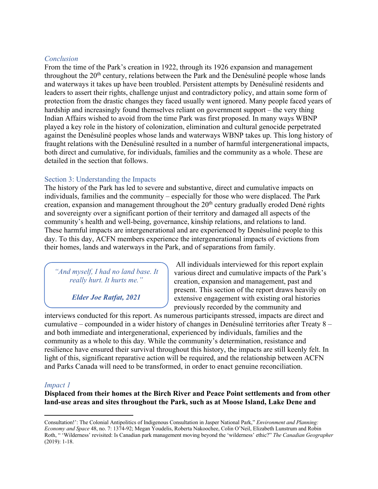## *Conclusion*

From the time of the Park's creation in 1922, through its 1926 expansion and management throughout the 20<sup>th</sup> century, relations between the Park and the Denésuliné people whose lands and waterways it takes up have been troubled. Persistent attempts by Denésuliné residents and leaders to assert their rights, challenge unjust and contradictory policy, and attain some form of protection from the drastic changes they faced usually went ignored. Many people faced years of hardship and increasingly found themselves reliant on government support – the very thing Indian Affairs wished to avoid from the time Park was first proposed. In many ways WBNP played a key role in the history of colonization, elimination and cultural genocide perpetrated against the Denésuliné peoples whose lands and waterways WBNP takes up. This long history of fraught relations with the Denésuliné resulted in a number of harmful intergenerational impacts, both direct and cumulative, for individuals, families and the community as a whole. These are detailed in the section that follows.

# Section 3: Understanding the Impacts

The history of the Park has led to severe and substantive, direct and cumulative impacts on individuals, families and the community – especially for those who were displaced. The Park creation, expansion and management throughout the  $20<sup>th</sup>$  century gradually eroded Dené rights and sovereignty over a significant portion of their territory and damaged all aspects of the community's health and well-being, governance, kinship relations, and relations to land. These harmful impacts are intergenerational and are experienced by Denésuliné people to this day. To this day, ACFN members experience the intergenerational impacts of evictions from their homes, lands and waterways in the Park, and of separations from family.

*"And myself, I had no land base. It really hurt. It hurts me."*

*Elder Joe Ratfat, 2021*

All individuals interviewed for this report explain various direct and cumulative impacts of the Park's creation, expansion and management, past and present. This section of the report draws heavily on extensive engagement with existing oral histories previously recorded by the community and

interviews conducted for this report. As numerous participants stressed, impacts are direct and cumulative – compounded in a wider history of changes in Denésuliné territories after Treaty 8 – and both immediate and intergenerational, experienced by individuals, families and the community as a whole to this day. While the community's determination, resistance and resilience have ensured their survival throughout this history, the impacts are still keenly felt. In light of this, significant reparative action will be required, and the relationship between ACFN and Parks Canada will need to be transformed, in order to enact genuine reconciliation.

# *Impact 1*

**Displaced from their homes at the Birch River and Peace Point settlements and from other land-use areas and sites throughout the Park, such as at Moose Island, Lake Dene and** 

Consultation!': The Colonial Antipolitics of Indigenous Consultation in Jasper National Park," *Environment and Planning: Economy and Space* 48, no. 7: 1374-92; Megan Youdelis, Roberta Nakoochee, Colin O'Neil, Elizabeth Lunstrum and Robin Roth, " 'Wilderness' revisited: Is Canadian park management moving beyond the 'wilderness' ethic?" *The Canadian Geographer*  (2019): 1-18.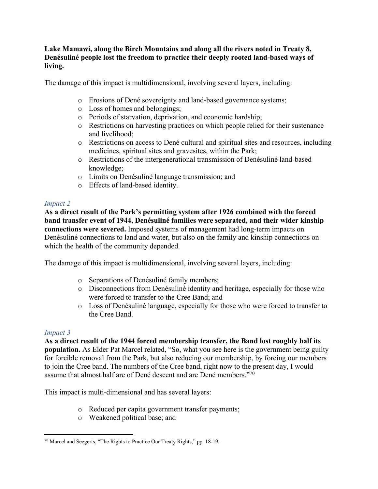# **Lake Mamawi, along the Birch Mountains and along all the rivers noted in Treaty 8, Denésuliné people lost the freedom to practice their deeply rooted land-based ways of living.**

The damage of this impact is multidimensional, involving several layers, including:

- o Erosions of Dené sovereignty and land-based governance systems;
- o Loss of homes and belongings;
- o Periods of starvation, deprivation, and economic hardship;
- o Restrictions on harvesting practices on which people relied for their sustenance and livelihood;
- o Restrictions on access to Dené cultural and spiritual sites and resources, including medicines, spiritual sites and gravesites, within the Park;
- o Restrictions of the intergenerational transmission of Denésuliné land-based knowledge;
- o Limits on Denésuliné language transmission; and
- o Effects of land-based identity.

# *Impact 2*

**As a direct result of the Park's permitting system after 1926 combined with the forced band transfer event of 1944, Denésuliné families were separated, and their wider kinship connections were severed.** Imposed systems of management had long-term impacts on Denésuliné connections to land and water, but also on the family and kinship connections on which the health of the community depended.

The damage of this impact is multidimensional, involving several layers, including:

- o Separations of Denésuliné family members;
- o Disconnections from Denésuliné identity and heritage, especially for those who were forced to transfer to the Cree Band; and
- o Loss of Denésuliné language, especially for those who were forced to transfer to the Cree Band.

# *Impact 3*

**As a direct result of the 1944 forced membership transfer, the Band lost roughly half its population.** As Elder Pat Marcel related, "So, what you see here is the government being guilty for forcible removal from the Park, but also reducing our membership, by forcing our members to join the Cree band. The numbers of the Cree band, right now to the present day, I would assume that almost half are of Dené descent and are Dené members."70

This impact is multi-dimensional and has several layers:

- o Reduced per capita government transfer payments;
- o Weakened political base; and

<sup>70</sup> Marcel and Seegerts, "The Rights to Practice Our Treaty Rights," pp. 18-19.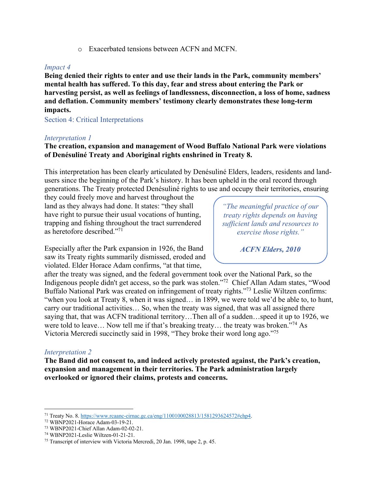o Exacerbated tensions between ACFN and MCFN.

# *Impact 4*

**Being denied their rights to enter and use their lands in the Park, community members' mental health has suffered. To this day, fear and stress about entering the Park or harvesting persist, as well as feelings of landlessness, disconnection, a loss of home, sadness and deflation. Community members' testimony clearly demonstrates these long-term impacts.**

Section 4: Critical Interpretations

## *Interpretation 1*

# **The creation, expansion and management of Wood Buffalo National Park were violations of Denésuliné Treaty and Aboriginal rights enshrined in Treaty 8.**

This interpretation has been clearly articulated by Denésuliné Elders, leaders, residents and landusers since the beginning of the Park's history. It has been upheld in the oral record through generations. The Treaty protected Denésuliné rights to use and occupy their territories, ensuring

they could freely move and harvest throughout the land as they always had done. It states: "they shall have right to pursue their usual vocations of hunting, trapping and fishing throughout the tract surrendered as heretofore described."71

Especially after the Park expansion in 1926, the Band saw its Treaty rights summarily dismissed, eroded and violated. Elder Horace Adam confirms, "at that time,

*"The meaningful practice of our treaty rights depends on having sufficient lands and resources to exercise those rights."*

*ACFN Elders, 2010*

after the treaty was signed, and the federal government took over the National Park, so the Indigenous people didn't get access, so the park was stolen."72 Chief Allan Adam states, "Wood Buffalo National Park was created on infringement of treaty rights."73 Leslie Wiltzen confirms: "when you look at Treaty 8, when it was signed… in 1899, we were told we'd be able to, to hunt, carry our traditional activities… So, when the treaty was signed, that was all assigned there saying that, that was ACFN traditional territory…Then all of a sudden…speed it up to 1926, we were told to leave... Now tell me if that's breaking treaty... the treaty was broken."<sup>74</sup> As Victoria Mercredi succinctly said in 1998, "They broke their word long ago."75

# *Interpretation 2*

**The Band did not consent to, and indeed actively protested against, the Park's creation, expansion and management in their territories. The Park administration largely overlooked or ignored their claims, protests and concerns.** 

<sup>71</sup> Treaty No. 8. https://www.rcaanc-cirnac.gc.ca/eng/1100100028813/1581293624572#chp4.

<sup>72</sup> WBNP2021-Horace Adam-03-19-21.

<sup>73</sup> WBNP2021-Chief Allan Adam-02-02-21.

<sup>74</sup> WBNP2021-Leslie Wiltzen-01-21-21. 75 Transcript of interview with Victoria Mercredi, 20 Jan. 1998, tape 2, p. 45.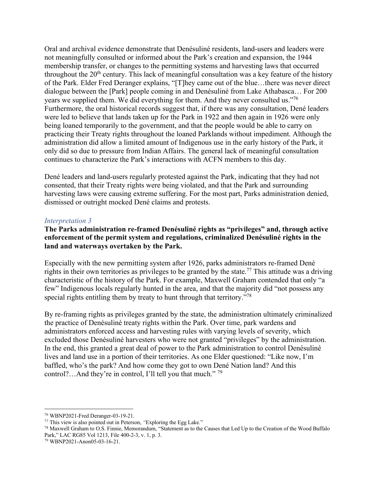Oral and archival evidence demonstrate that Denésuliné residents, land-users and leaders were not meaningfully consulted or informed about the Park's creation and expansion, the 1944 membership transfer, or changes to the permitting systems and harvesting laws that occurred throughout the  $20<sup>th</sup>$  century. This lack of meaningful consultation was a key feature of the history of the Park. Elder Fred Deranger explains, "[T]hey came out of the blue…there was never direct dialogue between the [Park] people coming in and Denésuliné from Lake Athabasca… For 200 years we supplied them. We did everything for them. And they never consulted us."<sup>76</sup> Furthermore, the oral historical records suggest that, if there was any consultation, Dené leaders were led to believe that lands taken up for the Park in 1922 and then again in 1926 were only being loaned temporarily to the government, and that the people would be able to carry on practicing their Treaty rights throughout the loaned Parklands without impediment. Although the administration did allow a limited amount of Indigenous use in the early history of the Park, it only did so due to pressure from Indian Affairs. The general lack of meaningful consultation continues to characterize the Park's interactions with ACFN members to this day.

Dené leaders and land-users regularly protested against the Park, indicating that they had not consented, that their Treaty rights were being violated, and that the Park and surrounding harvesting laws were causing extreme suffering. For the most part, Parks administration denied, dismissed or outright mocked Dené claims and protests.

# *Interpretation 3*

**The Parks administration re-framed Denésuliné rights as "privileges" and, through active enforcement of the permit system and regulations, criminalized Denésuliné rights in the land and waterways overtaken by the Park.** 

Especially with the new permitting system after 1926, parks administrators re-framed Dené rights in their own territories as privileges to be granted by the state.<sup>77</sup> This attitude was a driving characteristic of the history of the Park. For example, Maxwell Graham contended that only "a few" Indigenous locals regularly hunted in the area, and that the majority did "not possess any special rights entitling them by treaty to hunt through that territory.<sup>"78</sup>

By re-framing rights as privileges granted by the state, the administration ultimately criminalized the practice of Denésuliné treaty rights within the Park. Over time, park wardens and administrators enforced access and harvesting rules with varying levels of severity, which excluded those Denésuliné harvesters who were not granted "privileges" by the administration. In the end, this granted a great deal of power to the Park administration to control Denésuliné lives and land use in a portion of their territories. As one Elder questioned: "Like now, I'm baffled, who's the park? And how come they got to own Dené Nation land? And this control?...And they're in control, I'll tell you that much."<sup>79</sup>

<sup>76</sup> WBNP2021-Fred Deranger-03-19-21.

<sup>77</sup> This view is also pointed out in Peterson, *"*Exploring the Egg Lake*.*"

<sup>78</sup> Maxwell Graham to O.S. Finnie, Memorandum, "Statement as to the Causes that Led Up to the Creation of the Wood Buffalo Park," LAC RG85 Vol 1213, File 400-2-3, v. 1, p. 3. 79 WBNP2021-Anon05-03-16-21.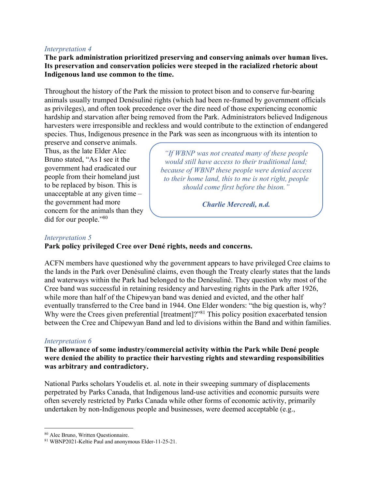## *Interpretation 4*

**The park administration prioritized preserving and conserving animals over human lives. Its preservation and conservation policies were steeped in the racialized rhetoric about Indigenous land use common to the time.** 

Throughout the history of the Park the mission to protect bison and to conserve fur-bearing animals usually trumped Denésuliné rights (which had been re-framed by government officials as privileges), and often took precedence over the dire need of those experiencing economic hardship and starvation after being removed from the Park. Administrators believed Indigenous harvesters were irresponsible and reckless and would contribute to the extinction of endangered species. Thus, Indigenous presence in the Park was seen as incongruous with its intention to

preserve and conserve animals. Thus, as the late Elder Alec Bruno stated, "As I see it the government had eradicated our people from their homeland just to be replaced by bison. This is unacceptable at any given time – the government had more concern for the animals than they did for our people."80

*"If WBNP was not created many of these people would still have access to their traditional land; because of WBNP these people were denied access to their home land, this to me is not right, people should come first before the bison."*

*Charlie Mercredi, n.d.*

## *Interpretation 5*

## **Park policy privileged Cree over Dené rights, needs and concerns.**

ACFN members have questioned why the government appears to have privileged Cree claims to the lands in the Park over Denésuliné claims, even though the Treaty clearly states that the lands and waterways within the Park had belonged to the Denésuliné. They question why most of the Cree band was successful in retaining residency and harvesting rights in the Park after 1926, while more than half of the Chipewyan band was denied and evicted, and the other half eventually transferred to the Cree band in 1944. One Elder wonders: "the big question is, why? Why were the Crees given preferential [treatment]?"<sup>81</sup> This policy position exacerbated tension between the Cree and Chipewyan Band and led to divisions within the Band and within families.

### *Interpretation 6*

**The allowance of some industry/commercial activity within the Park while Dené people were denied the ability to practice their harvesting rights and stewarding responsibilities was arbitrary and contradictory.**

National Parks scholars Youdelis et. al. note in their sweeping summary of displacements perpetrated by Parks Canada, that Indigenous land-use activities and economic pursuits were often severely restricted by Parks Canada while other forms of economic activity, primarily undertaken by non-Indigenous people and businesses, were deemed acceptable (e.g.,

<sup>80</sup> Alec Bruno, Written Questionnaire. 81 WBNP2021-Keltie Paul and anonymous Elder-11-25-21.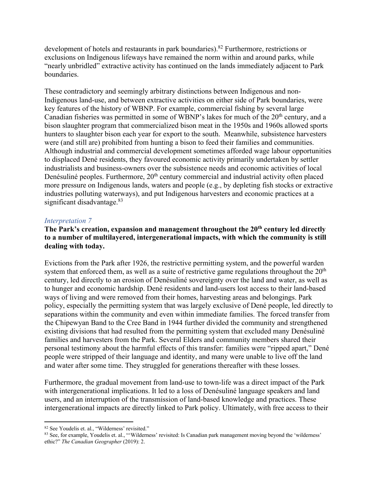development of hotels and restaurants in park boundaries).<sup>82</sup> Furthermore, restrictions or exclusions on Indigenous lifeways have remained the norm within and around parks, while "nearly unbridled" extractive activity has continued on the lands immediately adjacent to Park boundaries.

These contradictory and seemingly arbitrary distinctions between Indigenous and non-Indigenous land-use, and between extractive activities on either side of Park boundaries, were key features of the history of WBNP. For example, commercial fishing by several large Canadian fisheries was permitted in some of WBNP's lakes for much of the 20<sup>th</sup> century, and a bison slaughter program that commercialized bison meat in the 1950s and 1960s allowed sports hunters to slaughter bison each year for export to the south. Meanwhile, subsistence harvesters were (and still are) prohibited from hunting a bison to feed their families and communities. Although industrial and commercial development sometimes afforded wage labour opportunities to displaced Dené residents, they favoured economic activity primarily undertaken by settler industrialists and business-owners over the subsistence needs and economic activities of local Denésuliné peoples. Furthermore, 20<sup>th</sup> century commercial and industrial activity often placed more pressure on Indigenous lands, waters and people (e.g., by depleting fish stocks or extractive industries polluting waterways), and put Indigenous harvesters and economic practices at a significant disadvantage.<sup>83</sup>

# *Interpretation 7*

# The Park's creation, expansion and management throughout the 20<sup>th</sup> century led directly **to a number of multilayered, intergenerational impacts, with which the community is still dealing with today.**

Evictions from the Park after 1926, the restrictive permitting system, and the powerful warden system that enforced them, as well as a suite of restrictive game regulations throughout the  $20<sup>th</sup>$ century, led directly to an erosion of Denésuliné sovereignty over the land and water, as well as to hunger and economic hardship. Dené residents and land-users lost access to their land-based ways of living and were removed from their homes, harvesting areas and belongings. Park policy, especially the permitting system that was largely exclusive of Dené people, led directly to separations within the community and even within immediate families. The forced transfer from the Chipewyan Band to the Cree Band in 1944 further divided the community and strengthened existing divisions that had resulted from the permitting system that excluded many Denésuliné families and harvesters from the Park. Several Elders and community members shared their personal testimony about the harmful effects of this transfer: families were "ripped apart," Dené people were stripped of their language and identity, and many were unable to live off the land and water after some time. They struggled for generations thereafter with these losses.

Furthermore, the gradual movement from land-use to town-life was a direct impact of the Park with intergenerational implications. It led to a loss of Denésuliné language speakers and land users, and an interruption of the transmission of land-based knowledge and practices. These intergenerational impacts are directly linked to Park policy. Ultimately, with free access to their

<sup>82</sup> See Youdelis et. al., "Wilderness' revisited."

<sup>83</sup> See, for example, Youdelis et. al., "'Wilderness' revisited: Is Canadian park management moving beyond the 'wilderness' ethic?" *The Canadian Geographer* (2019): 2.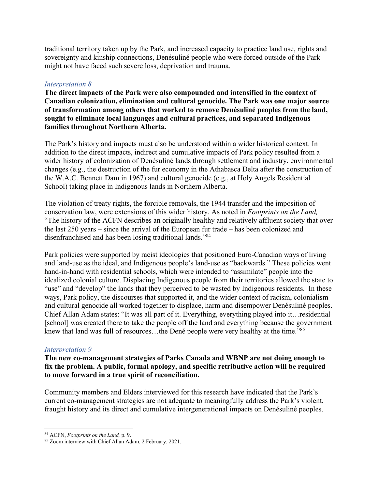traditional territory taken up by the Park, and increased capacity to practice land use, rights and sovereignty and kinship connections, Denésuliné people who were forced outside of the Park might not have faced such severe loss, deprivation and trauma.

# *Interpretation 8*

**The direct impacts of the Park were also compounded and intensified in the context of Canadian colonization, elimination and cultural genocide. The Park was one major source of transformation among others that worked to remove Denésuliné peoples from the land, sought to eliminate local languages and cultural practices, and separated Indigenous families throughout Northern Alberta.**

The Park's history and impacts must also be understood within a wider historical context. In addition to the direct impacts, indirect and cumulative impacts of Park policy resulted from a wider history of colonization of Denésuliné lands through settlement and industry, environmental changes (e.g., the destruction of the fur economy in the Athabasca Delta after the construction of the W.A.C. Bennett Dam in 1967) and cultural genocide (e.g., at Holy Angels Residential School) taking place in Indigenous lands in Northern Alberta.

The violation of treaty rights, the forcible removals, the 1944 transfer and the imposition of conservation law, were extensions of this wider history. As noted in *Footprints on the Land,*  "The history of the ACFN describes an originally healthy and relatively affluent society that over the last 250 years – since the arrival of the European fur trade – has been colonized and disenfranchised and has been losing traditional lands."84

Park policies were supported by racist ideologies that positioned Euro-Canadian ways of living and land-use as the ideal, and Indigenous people's land-use as "backwards." These policies went hand-in-hand with residential schools, which were intended to "assimilate" people into the idealized colonial culture. Displacing Indigenous people from their territories allowed the state to "use" and "develop" the lands that they perceived to be wasted by Indigenous residents. In these ways, Park policy, the discourses that supported it, and the wider context of racism, colonialism and cultural genocide all worked together to displace, harm and disempower Denésuliné peoples. Chief Allan Adam states: "It was all part of it. Everything, everything played into it…residential [school] was created there to take the people off the land and everything because the government knew that land was full of resources...the Dené people were very healthy at the time."<sup>85</sup>

# *Interpretation 9*

**The new co-management strategies of Parks Canada and WBNP are not doing enough to fix the problem. A public, formal apology, and specific retributive action will be required to move forward in a true spirit of reconciliation.** 

Community members and Elders interviewed for this research have indicated that the Park's current co-management strategies are not adequate to meaningfully address the Park's violent, fraught history and its direct and cumulative intergenerational impacts on Denésuliné peoples.

<sup>84</sup> ACFN, *Footprints on the Land,* p. 9.

<sup>85</sup> Zoom interview with Chief Allan Adam. 2 February, 2021.